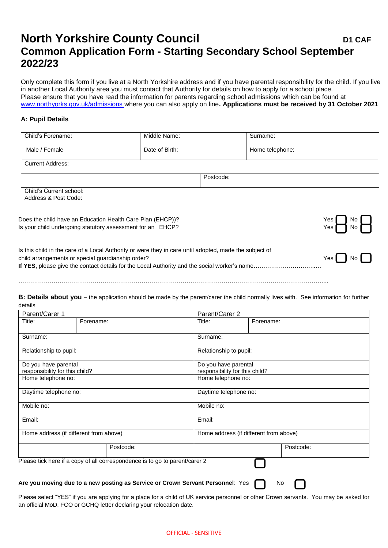## **North Yorkshire County Council <b>DES DES D1** CAF **Common Application Form - Starting Secondary School September 2022/23**

Only complete this form if you live at a North Yorkshire address and if you have parental responsibility for the child. If you live in another Local Authority area you must contact that Authority for details on how to apply for a school place. Please ensure that you have read the information for parents regarding school admissions which can be found at [www.northyorks.gov.uk/admissions](http://www.northyorks.gov.uk/admissions) where you can also apply on line**. Applications must be received by 31 October 2021**

## **A: Pupil Details**

| Child's Forename:                               | Middle Name:   |           | Surname:        |                      |
|-------------------------------------------------|----------------|-----------|-----------------|----------------------|
| Male / Female                                   | Date of Birth: |           | Home telephone: |                      |
| <b>Current Address:</b>                         |                |           |                 |                      |
|                                                 |                | Postcode: |                 |                      |
| Child's Current school:<br>Address & Post Code: |                |           |                 |                      |
|                                                 |                |           |                 | — 1. 1<br>$\sqrt{ }$ |

Does the child have an Education Health Care Plan (EHCP))? Is your child undergoing statutory assessment for an EHCP? The North Control of North Control of North Control of North Control of North Control of North Control of North Control of North Control of North Control of North

| es | No |  |
|----|----|--|
| es | No |  |

| Is this child in the care of a Local Authority or were they in care until adopted, made the subject of |                          |  |
|--------------------------------------------------------------------------------------------------------|--------------------------|--|
| child arrangements or special quardianship order?                                                      | $Yes \bigcap No \bigcap$ |  |
|                                                                                                        |                          |  |
|                                                                                                        |                          |  |

**B: Details about you** – the application should be made by the parent/carer the child normally lives with. See information for further details

…………………………………………………………………………………………………………………………………………...

| Parent/Carer 1                         |                                                                                |            | Parent/Carer 2                         |  |  |
|----------------------------------------|--------------------------------------------------------------------------------|------------|----------------------------------------|--|--|
| Title:                                 | Forename:                                                                      | Title:     | Forename:                              |  |  |
| Surname:                               |                                                                                | Surname:   |                                        |  |  |
| Relationship to pupil:                 |                                                                                |            | Relationship to pupil:                 |  |  |
| Do you have parental                   |                                                                                |            | Do you have parental                   |  |  |
| responsibility for this child?         |                                                                                |            | responsibility for this child?         |  |  |
| Home telephone no:                     |                                                                                |            | Home telephone no:                     |  |  |
| Daytime telephone no:                  |                                                                                |            | Daytime telephone no:                  |  |  |
| Mobile no:                             |                                                                                | Mobile no: |                                        |  |  |
| Email:                                 |                                                                                | Email:     |                                        |  |  |
| Home address (if different from above) |                                                                                |            | Home address (if different from above) |  |  |
|                                        | Postcode:                                                                      |            | Postcode:                              |  |  |
|                                        | Please tick here if a copy of all correspondence is to go to parent/carer 2    |            |                                        |  |  |
|                                        | Are you moving due to a new posting as Service or Crown Servant Personnel: Yes |            | No                                     |  |  |

Please select "YES" if you are applying for a place for a child of UK service personnel or other Crown servants. You may be asked for an official MoD, FCO or GCHQ letter declaring your relocation date.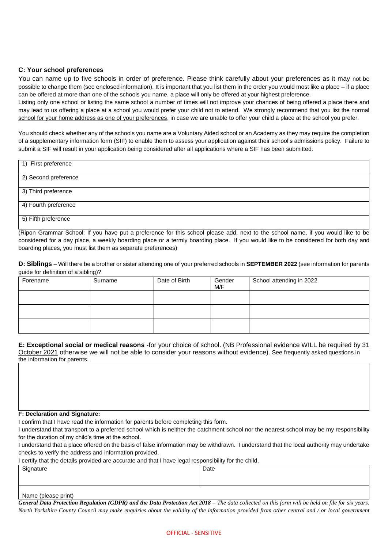## **C: Your school preferences**

You can name up to five schools in order of preference. Please think carefully about your preferences as it may not be possible to change them (see enclosed information). It is important that you list them in the order you would most like a place – if a place can be offered at more than one of the schools you name, a place will only be offered at your highest preference.

Listing only one school or listing the same school a number of times will not improve your chances of being offered a place there and may lead to us offering a place at a school you would prefer your child not to attend. We strongly recommend that you list the normal school for your home address as one of your preferences, in case we are unable to offer your child a place at the school you prefer.

You should check whether any of the schools you name are a Voluntary Aided school or an Academy as they may require the completion of a supplementary information form (SIF) to enable them to assess your application against their school's admissions policy. Failure to submit a SIF will result in your application being considered after all applications where a SIF has been submitted.

| 1) First preference  |  |
|----------------------|--|
| 2) Second preference |  |
| 3) Third preference  |  |
| 4) Fourth preference |  |
| 5) Fifth preference  |  |

(Ripon Grammar School: If you have put a preference for this school please add, next to the school name, if you would like to be considered for a day place, a weekly boarding place or a termly boarding place. If you would like to be considered for both day and boarding places, you must list them as separate preferences)

**D: Siblings** – Will there be a brother or sister attending one of your preferred schools in **SEPTEMBER 2022** (see information for parents guide for definition of a sibling)?

| Forename | Surname | Date of Birth | Gender<br>M/F | School attending in 2022 |
|----------|---------|---------------|---------------|--------------------------|
|          |         |               |               |                          |
|          |         |               |               |                          |
|          |         |               |               |                          |

**E: Exceptional social or medical reasons** -for your choice of school. (NB Professional evidence WILL be required by 31 October 2021 otherwise we will not be able to consider your reasons without evidence). See frequently asked questions in the information for parents.

## **F: Declaration and Signature:**

I confirm that I have read the information for parents before completing this form.

| I understand that transport to a preferred school which is neither the catchment school nor the nearest school may be my responsibility |
|-----------------------------------------------------------------------------------------------------------------------------------------|
| for the duration of my child's time at the school.                                                                                      |

I understand that a place offered on the basis of false information may be withdrawn. I understand that the local authority may undertake checks to verify the address and information provided.

I certify that the details provided are accurate and that I have legal responsibility for the child.

| Signature           | Date |
|---------------------|------|
|                     |      |
|                     |      |
| Name (planna print) |      |

Name (please print)

**General Data Protection Regulation (GDPR) and the Data Protection Act 2018** – The data collected on this form will be held on file for six years. *North Yorkshire County Council may make enquiries about the validity of the information provided from other central and / or local government*